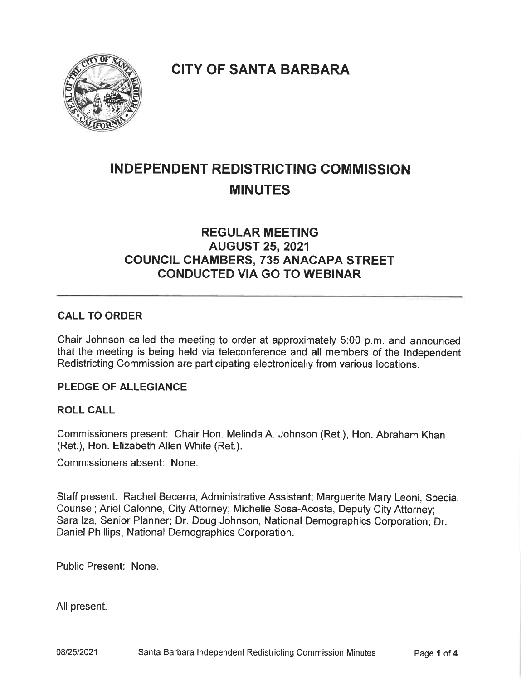$\mathbb{R}$  $\mathbf{S}$ in the City **WIFORNI** 

CITY OF SANTA BARBARA

# INDEPENDENT REDISTRICTING COMMISSION MINUTES

# REGULAR MEETING AUGUST 25, 2021 COUNCIL CHAMBERS, 735 ANACAPA STREET CONDUCTED VIA GO TO WEBINAR

# CALL TO ORDER

Chair Johnson called the meeting to order at approximately 5:00 p. m. and announced that the meeting is being held via teleconference and all members of the Independent Redistricting Commission are participating electronically from various locations.

# PLEDGE OF ALLEGIANCE

#### ROLL CALL

Commissioners present: Chair Hon. Melinda A. Johnson (Ret. ), Hon. Abraham Khan (Ret.), Hon. Elizabeth Allen White (Ret.).

Commissioners absent: None.

Staff present: Rachel Becerra, Administrative Assistant; Marguerite Mary Leoni, Special Counsel; Ariel Calonne, City Attorney; Michelle Sosa-Acosta, Deputy City Attorney; Sara Iza, Senior Planner; Dr. Doug Johnson, National Demographics Corporation; Dr. Daniel Phillips, National Demographics Corporation.

Public Present: None.

All present.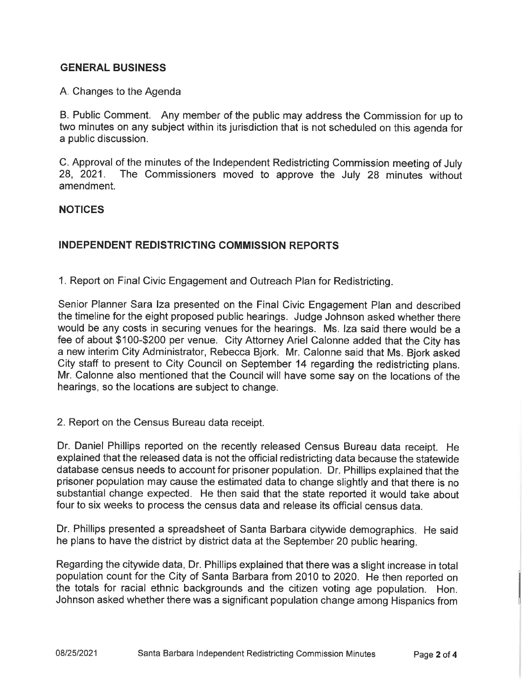# GENERAL BUSINESS

#### A. Changes to the Agenda

B. Public Comment. Any member of the public may address the Commission for up to two minutes on any subject within its jurisdiction that is not scheduled on this agenda for a public discussion.

C. Approval of the minutes of the Independent Redistricting Commission meeting of July 28, 2021. The Commissioners moved to approve the July 28 minutes without amendment.

#### **NOTICES**

# INDEPENDENT REDISTRICTING COMMISSION REPORTS

1. Report on Final Civic Engagement and Outreach Plan for Redistricting.

Senior Planner Sara Iza presented on the Final Civic Engagement Plan and described the timeline for the eight proposed public hearings. Judge Johnson asked whether there would be any costs in securing venues for the hearings. Ms. Iza said there would be a fee of about \$100-\$200 per venue. City Attorney Ariel Calonne added that the City has a new interim City Administrator, Rebecca Bjork. Mr. Calonne said that Ms. Bjork asked City staff to present to City Council on September 14 regarding the redistricting plans. Mr. Calonne also mentioned that the Council will have some say on the locations of the hearings, so the locations are subject to change.

#### 2. Report on the Census Bureau data receipt.

Dr. Daniel Phillips reported on the recently released Census Bureau data receipt. He explained that the released data is not the official redistricting data because the statewide database census needs to account for prisoner population. Dr. Phillips explained that the prisoner population may cause the estimated data to change slightly and that there is no substantial change expected. He then said that the state reported it would take about four to six weeks to process the census data and release its official census data.

Dr. Phillips presented a spreadsheet of Santa Barbara citywide demographics. He said he plans to have the district by district data at the September 20 public hearing.

Regarding the citywide data, Dr. Phillips explained that there was a slight increase in total population count for the City of Santa Barbara from 2010 to 2020. He then reported on the totals for racial ethnic backgrounds and the citizen voting age population. Hon. Johnson asked whether there was a significant population change among Hispanics from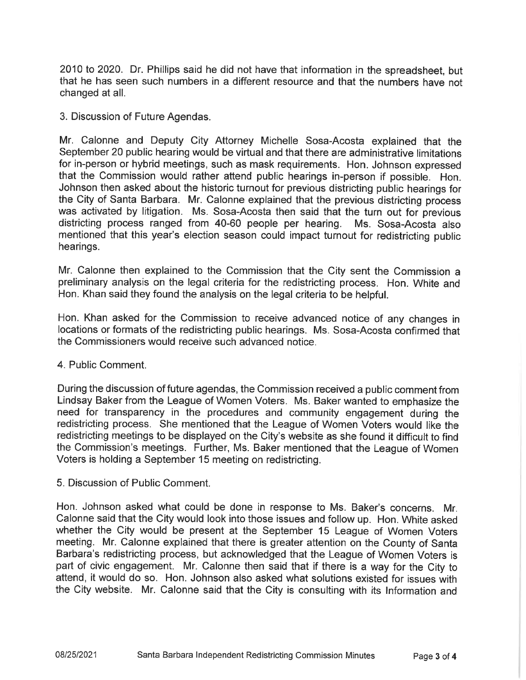2010 to 2020. Dr. Phillips said he did not have that information in the spreadsheet, but that he has seen such numbers in a different resource and that the numbers have not changed at all.

3. Discussion of Future Agendas.

Mr. Calonne and Deputy City Attorney Michelle Sosa-Acosta explained that the September 20 public hearing would be virtual and that there are administrative limitations for in-person or hybrid meetings, such as mask requirements. Hon. Johnson expressed that the Commission would rather attend public hearings in-person if possible. Hon. Johnson then asked about the historic turnout for previous districting public hearings for the City of Santa Barbara. Mr. Calonne explained that the previous districting process was activated by litigation. Ms. Sosa-Acosta then said that the turn out for previous districting process ranged from 40-60 people per hearing. Ms. Sosa-Acosta also mentioned that this year's election season could impact turnout for redistricting public hearings.

Mr. Calonne then explained to the Commission that the City sent the Commission a preliminary analysis on the legal criteria for the redistricting process. Hon. White and Hon. Khan said they found the analysis on the legal criteria to be helpful.

Hon. Khan asked for the Commission to receive advanced notice of any changes in locations or formats of the redistricting public hearings. Ms. Sosa-Acosta confirmed that the Commissioners would receive such advanced notice.

#### 4. Public Comment.

During the discussion of future agendas, the Commission received a public comment from Lindsay Baker from the League of Women Voters. Ms. Baker wanted to emphasize the need for transparency in the procedures and community engagement during the redistricting process. She mentioned that the League of Women Voters would like the redistricting meetings to be displayed on the City's website as she found it difficult to find the Commission's meetings. Further, Ms. Baker mentioned that the League of Women Voters is holding a September 15 meeting on redistricting.

5. Discussion of Public Comment.

Hon. Johnson asked what could be done in response to Ms. Baker's concerns. Mr. Calonne said that the City would look into those issues and follow up. Hon. White asked whether the City would be present at the September 15 League of Women Voters meeting. Mr. Calonne explained that there is greater attention on the County of Santa Barbara's redistricting process, but acknowledged that the League of Women Voters is part of civic engagement. Mr. Calonne then said that if there is a way for the City to attend, it would do so. Hon. Johnson also asked what solutions existed for issues with the City website. Mr. Calonne said that the City is consulting with its Information and